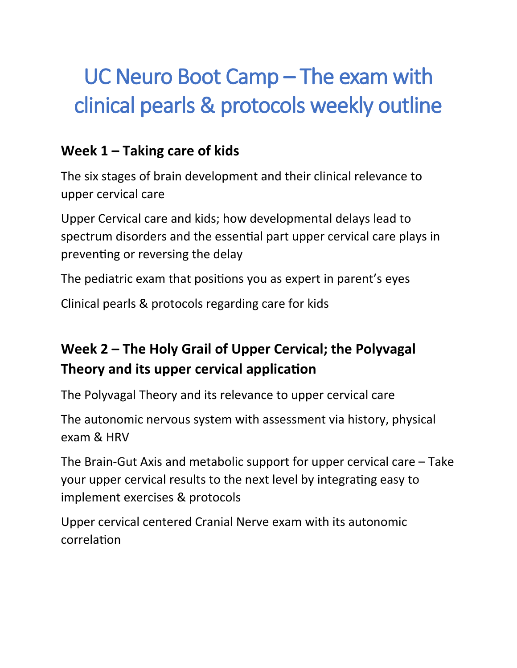# UC Neuro Boot Camp – The exam with clinical pearls & protocols weekly outline

#### **Week 1 – Taking care of kids**

The six stages of brain development and their clinical relevance to upper cervical care

Upper Cervical care and kids; how developmental delays lead to spectrum disorders and the essential part upper cervical care plays in preventing or reversing the delay

The pediatric exam that positions you as expert in parent's eyes

Clinical pearls & protocols regarding care for kids

## **Week 2 – The Holy Grail of Upper Cervical; the Polyvagal Theory and its upper cervical application**

The Polyvagal Theory and its relevance to upper cervical care

The autonomic nervous system with assessment via history, physical exam & HRV

The Brain-Gut Axis and metabolic support for upper cervical care – Take your upper cervical results to the next level by integrating easy to implement exercises & protocols

Upper cervical centered Cranial Nerve exam with its autonomic correlation